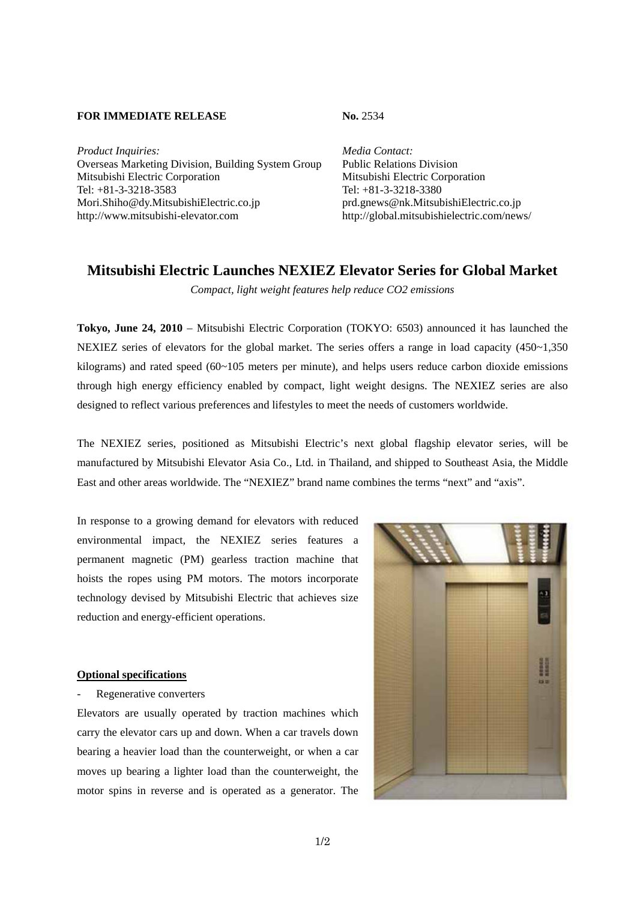## **FOR IMMEDIATE RELEASE No. 2534**

Product Inquiries: Media Contact: Overseas Marketing Division, Building System Group Public Relations Division Mitsubishi Electric Corporation Mitsubishi Electric Corporation Tel: +81-3-3218-3583 Tel: +81-3-3218-3380 Mori.Shiho@dy.MitsubishiElectric.co.jp prd.gnews@nk.MitsubishiElectric.co.jp http://www.mitsubishi-elevator.com http://global.mitsubishielectric.com/news/

## **Mitsubishi Electric Launches NEXIEZ Elevator Series for Global Market**

*Compact, light weight features help reduce CO2 emissions* 

**Tokyo, June 24, 2010** – Mitsubishi Electric Corporation (TOKYO: 6503) announced it has launched the NEXIEZ series of elevators for the global market. The series offers a range in load capacity  $(450-1,350)$ kilograms) and rated speed (60~105 meters per minute), and helps users reduce carbon dioxide emissions through high energy efficiency enabled by compact, light weight designs. The NEXIEZ series are also designed to reflect various preferences and lifestyles to meet the needs of customers worldwide.

The NEXIEZ series, positioned as Mitsubishi Electric's next global flagship elevator series, will be manufactured by Mitsubishi Elevator Asia Co., Ltd. in Thailand, and shipped to Southeast Asia, the Middle East and other areas worldwide. The "NEXIEZ" brand name combines the terms "next" and "axis".

In response to a growing demand for elevators with reduced environmental impact, the NEXIEZ series features a permanent magnetic (PM) gearless traction machine that hoists the ropes using PM motors. The motors incorporate technology devised by Mitsubishi Electric that achieves size reduction and energy-efficient operations.

## **Optional specifications**

Regenerative converters

Elevators are usually operated by traction machines which carry the elevator cars up and down. When a car travels down bearing a heavier load than the counterweight, or when a car moves up bearing a lighter load than the counterweight, the motor spins in reverse and is operated as a generator. The